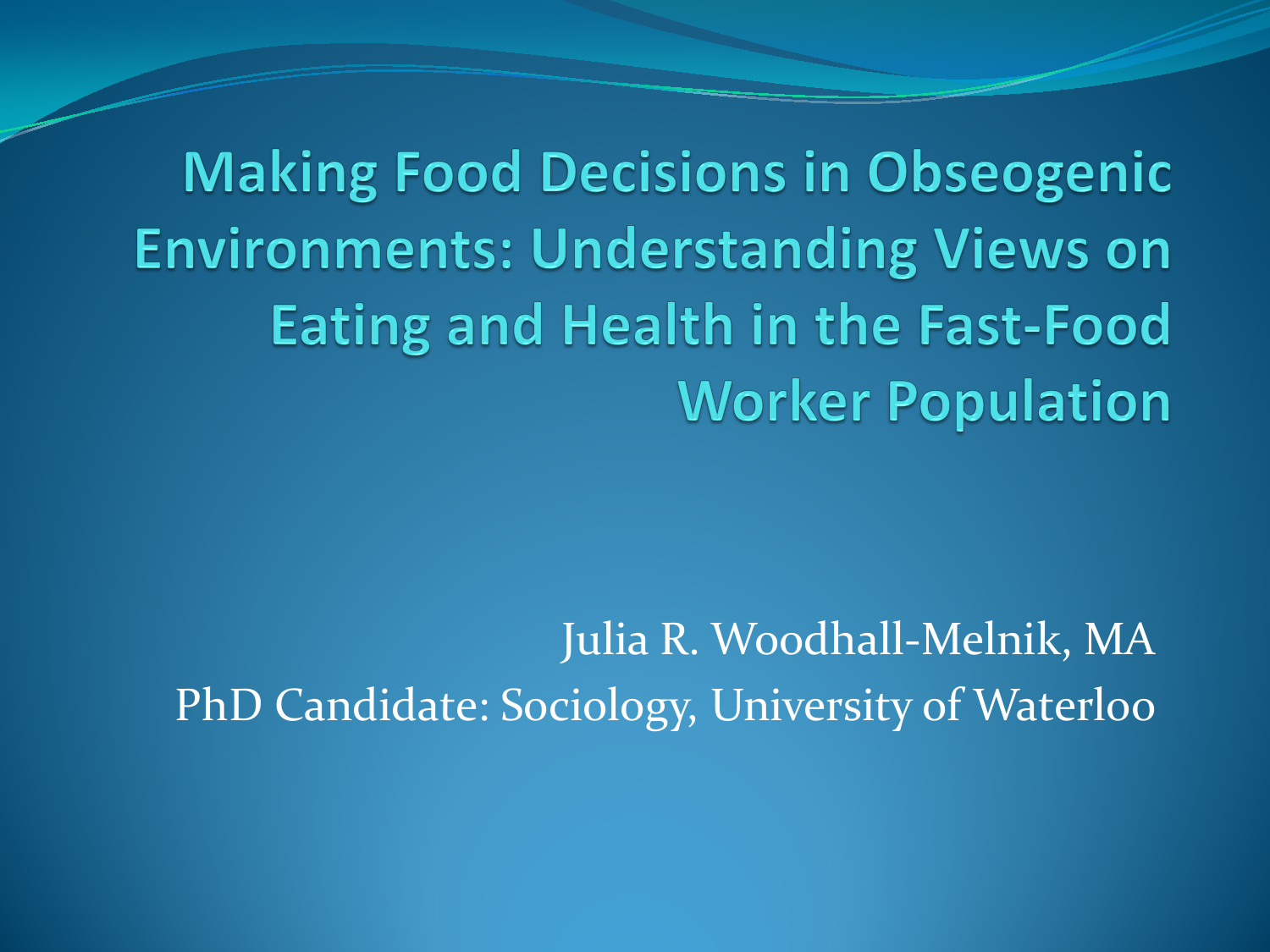**Making Food Decisions in Obseogenic Environments: Understanding Views on Eating and Health in the Fast-Food Worker Population** 

Julia R. Woodhall-Melnik, MA PhD Candidate: Sociology, University of Waterloo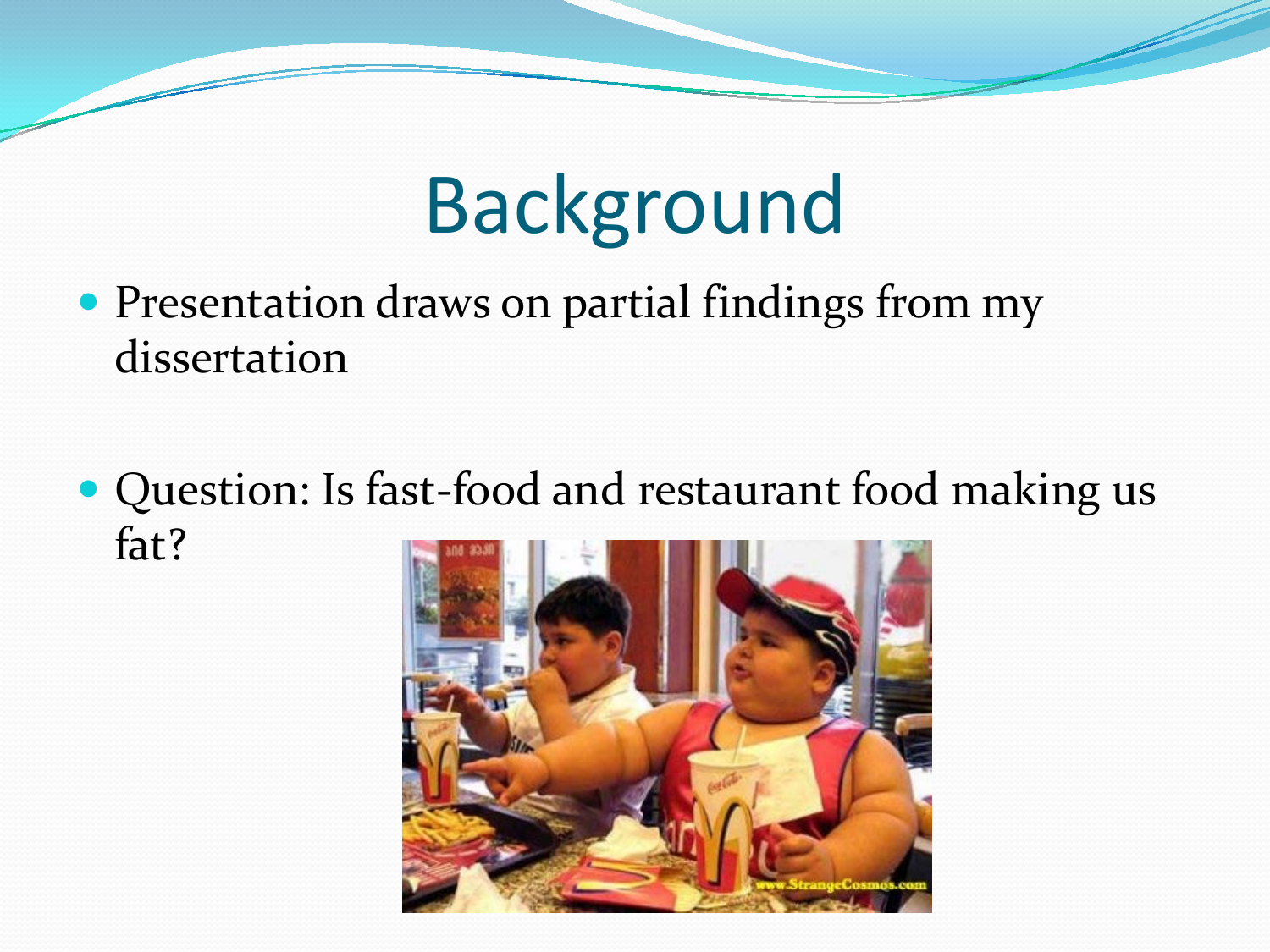## Background

- Presentation draws on partial findings from my dissertation
- Question: Is fast-food and restaurant food making us fat?

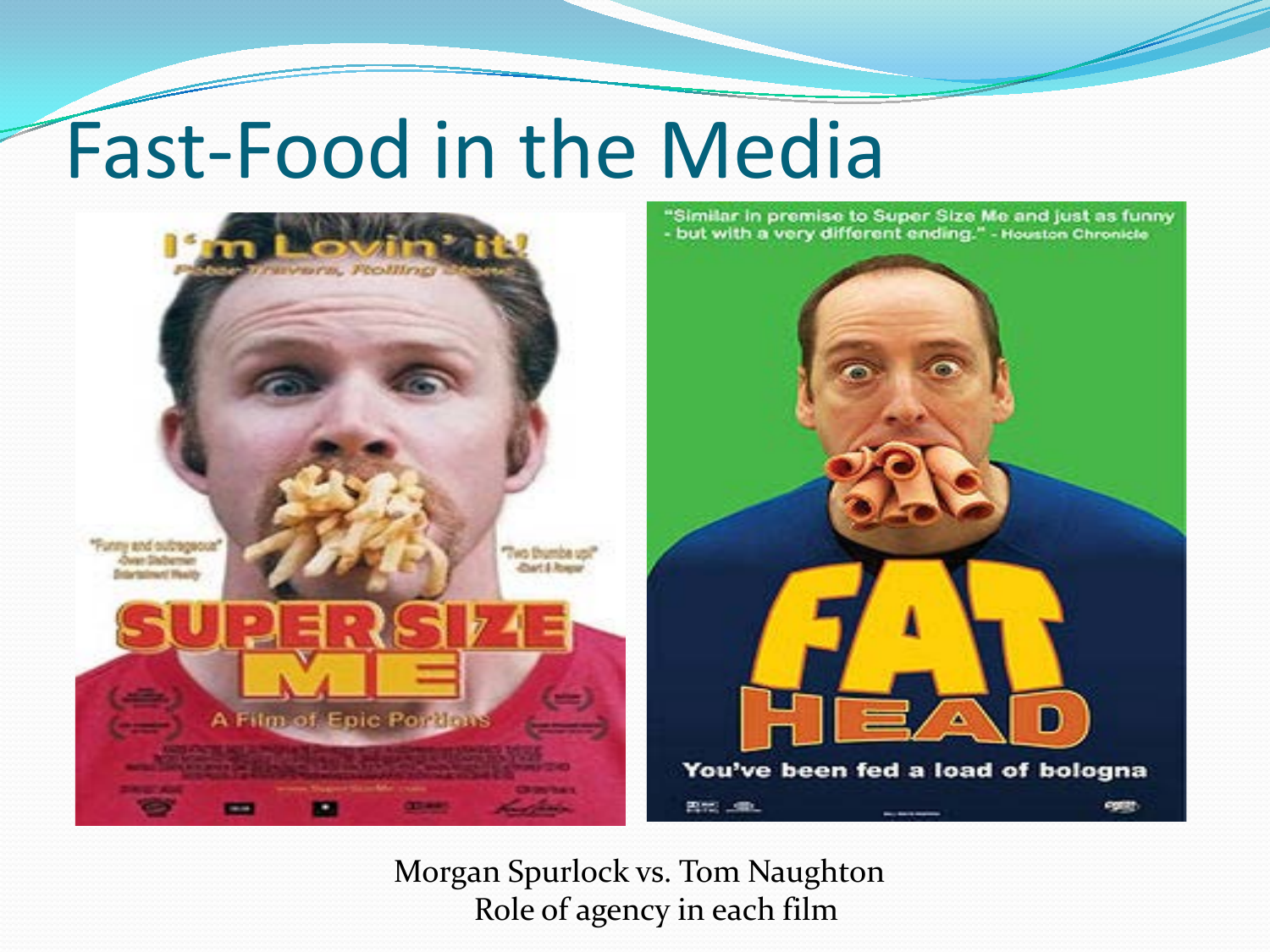## Fast-Food in the Media



Morgan Spurlock vs. Tom Naughton Role of agency in each film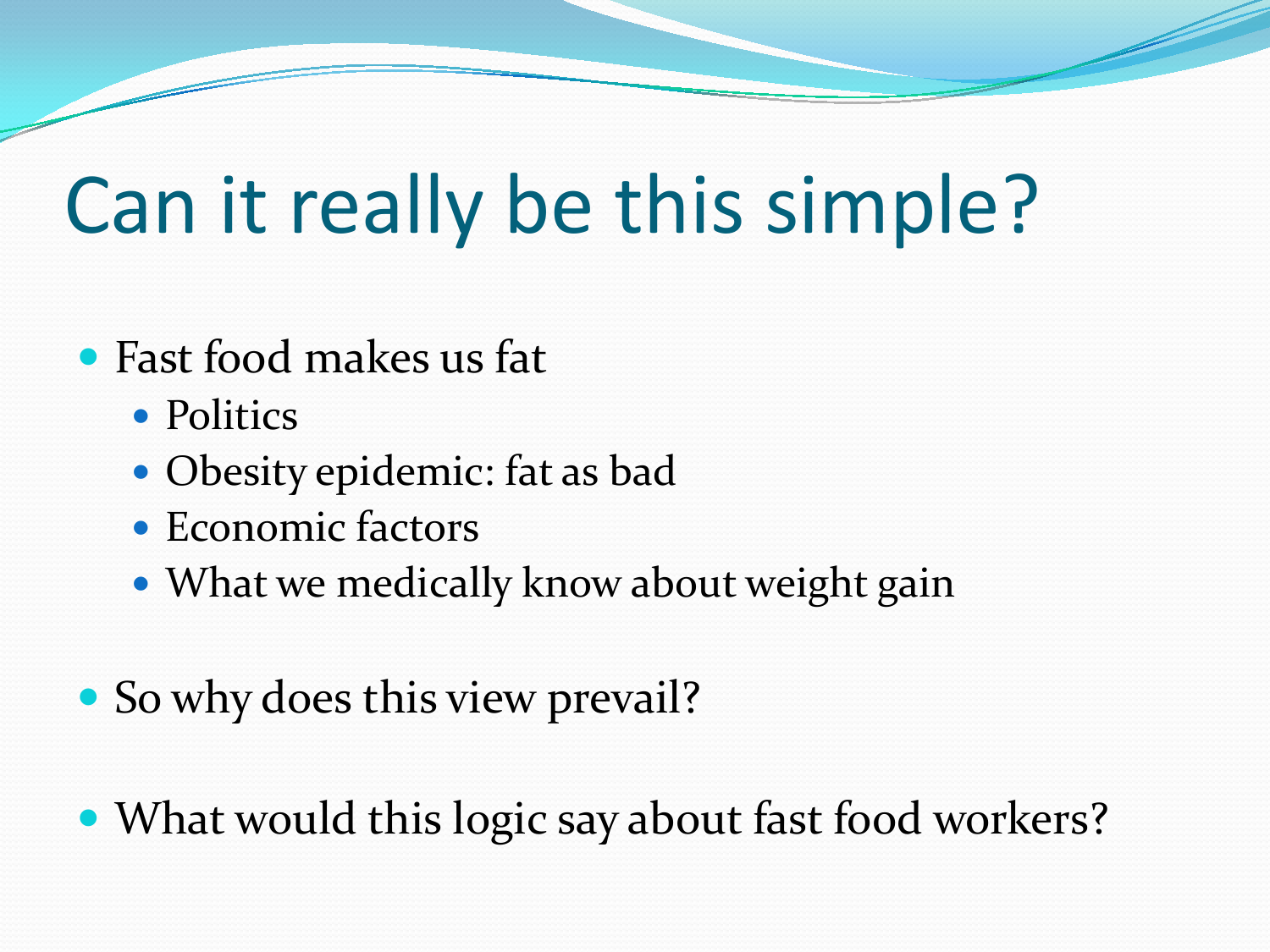## Can it really be this simple?

- Fast food makes us fat
	- Politics
	- Obesity epidemic: fat as bad
	- Economic factors
	- What we medically know about weight gain
- So why does this view prevail?
- What would this logic say about fast food workers?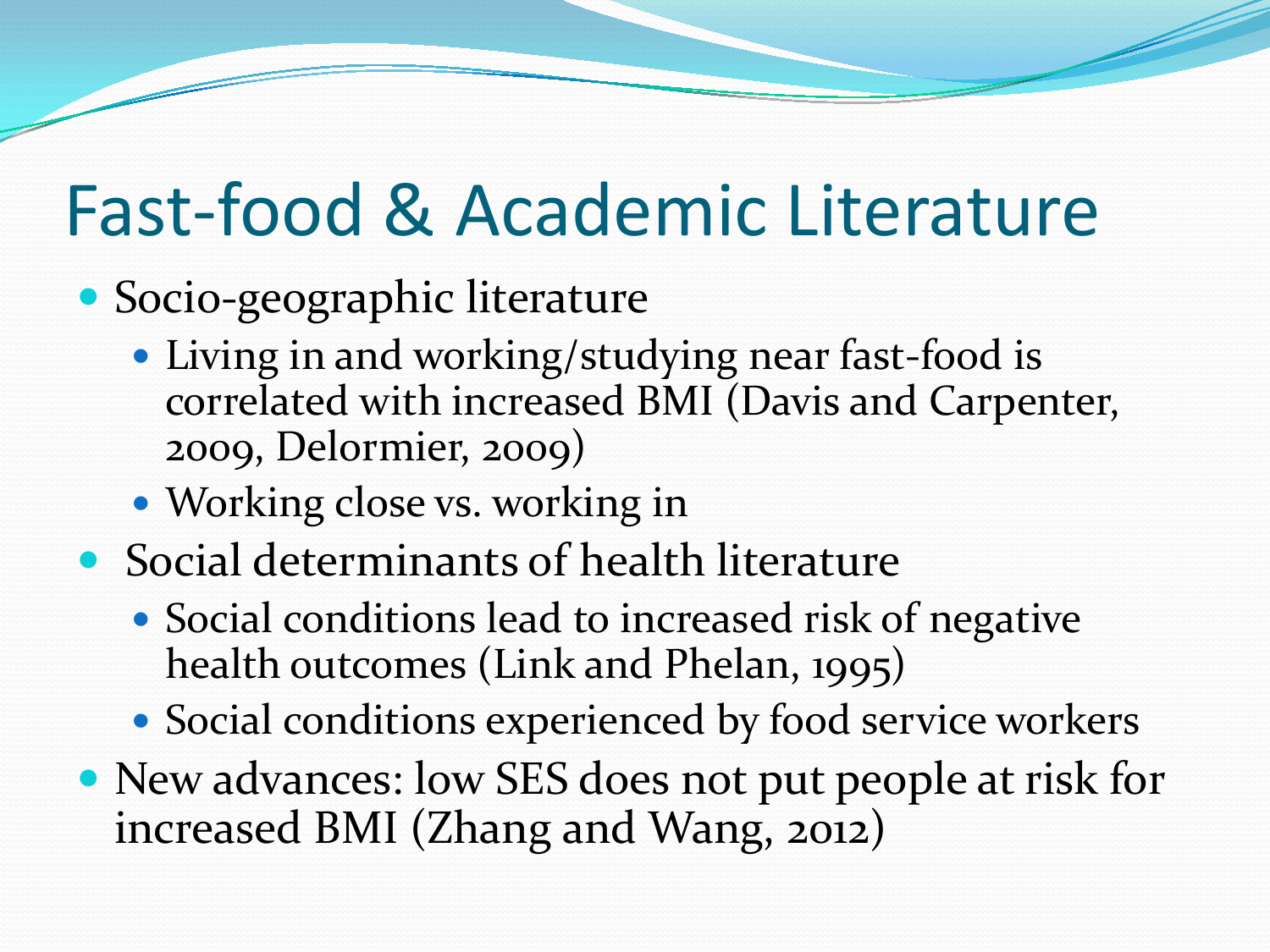### Fast-food & Academic Literature

### Socio-geographic literature

- Living in and working/studying near fast-food is correlated with increased BMI (Davis and Carpenter, 2009, Delormier, 2009)
- Working close vs. working in
- Social determinants of health literature
	- Social conditions lead to increased risk of negative health outcomes (Link and Phelan, 1995)
	- Social conditions experienced by food service workers
- New advances: low SES does not put people at risk for increased BMI (Zhang and Wang, 2012)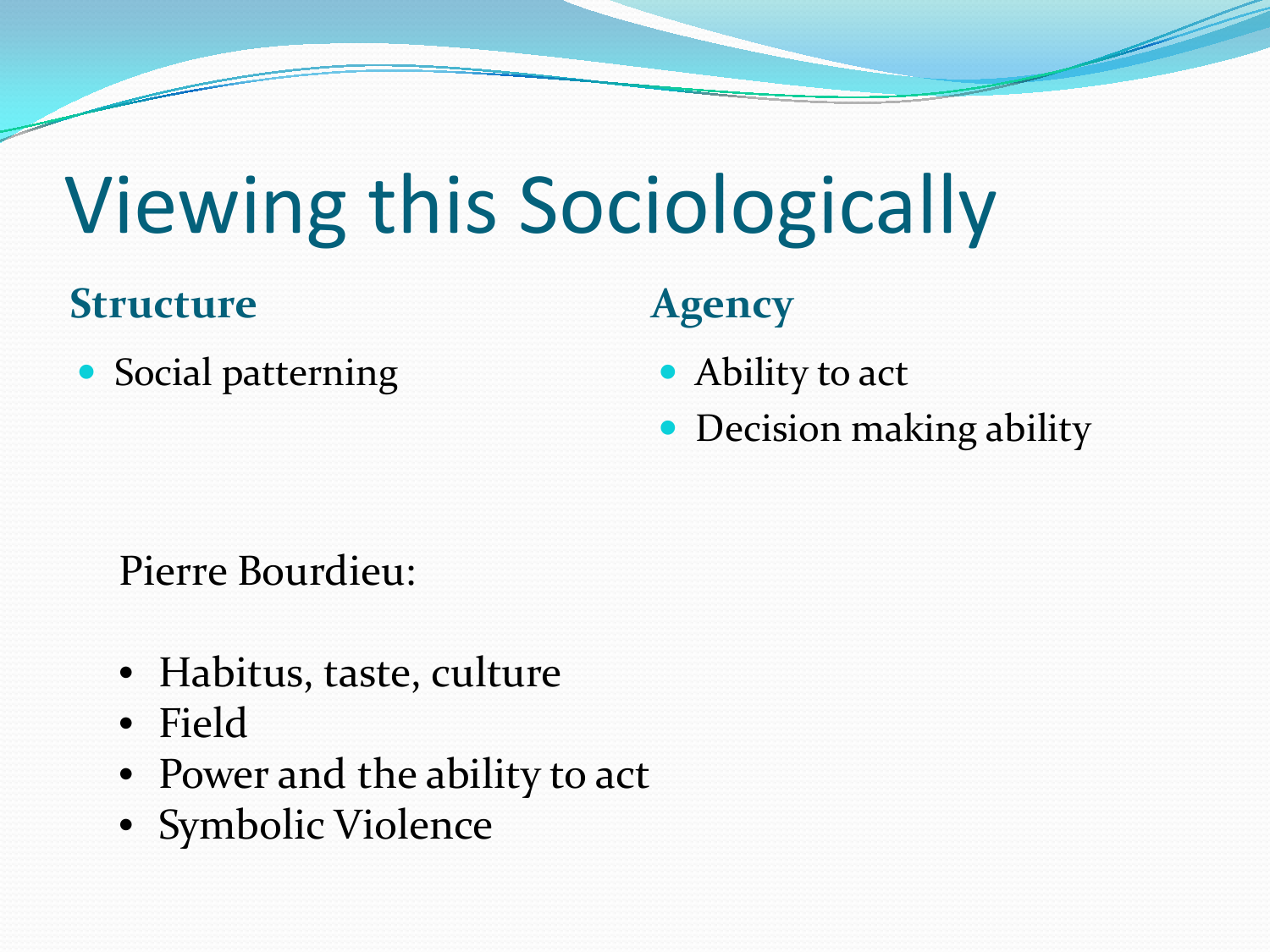## Viewing this Sociologically

#### **Structure Agency**

• Social patterning • Ability to act

- 
- Decision making ability

#### Pierre Bourdieu:

- Habitus, taste, culture
- Field
- Power and the ability to act
- Symbolic Violence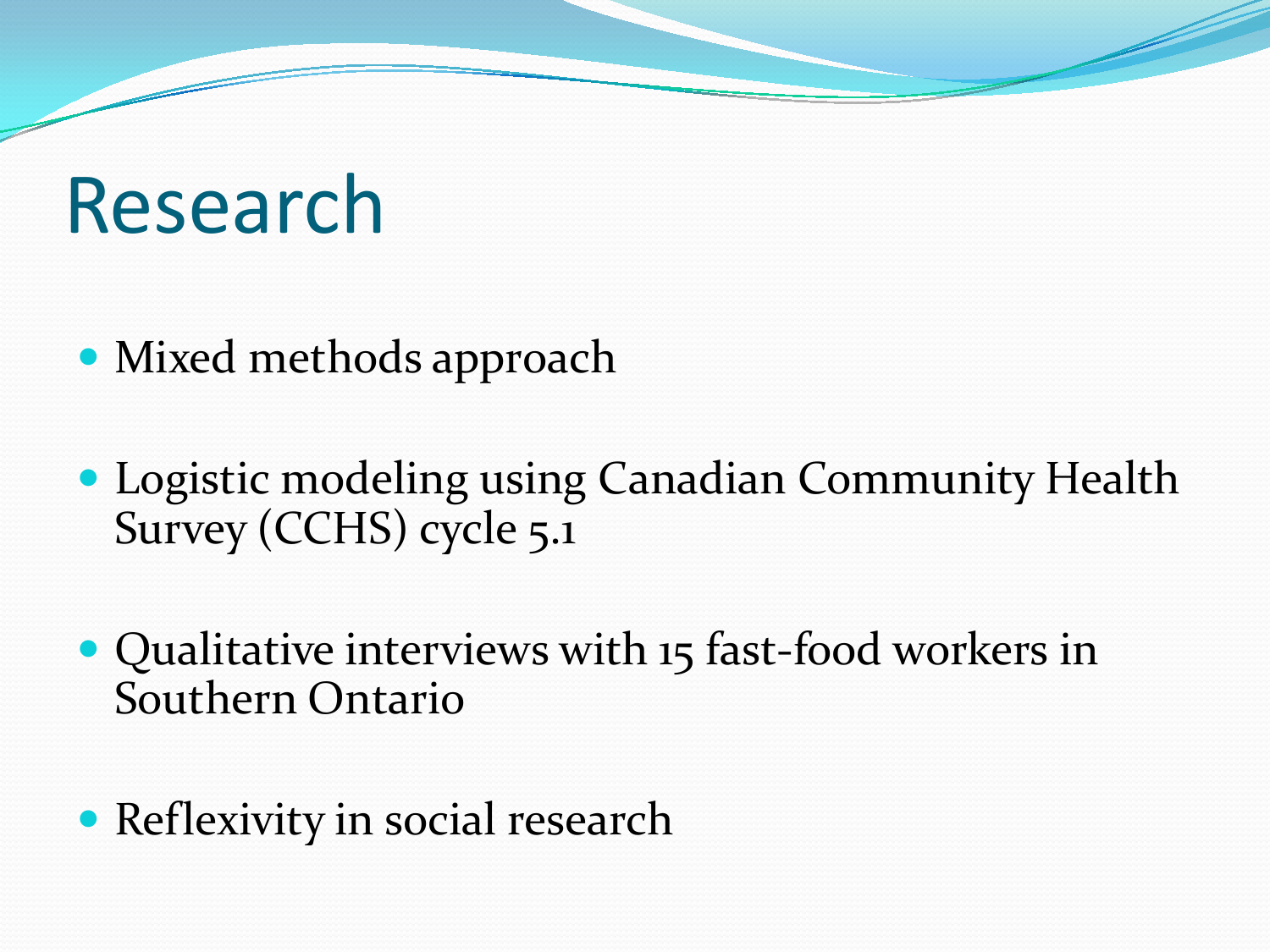## Research

- Mixed methods approach
- Logistic modeling using Canadian Community Health Survey (CCHS) cycle 5.1
- Qualitative interviews with 15 fast-food workers in Southern Ontario
- Reflexivity in social research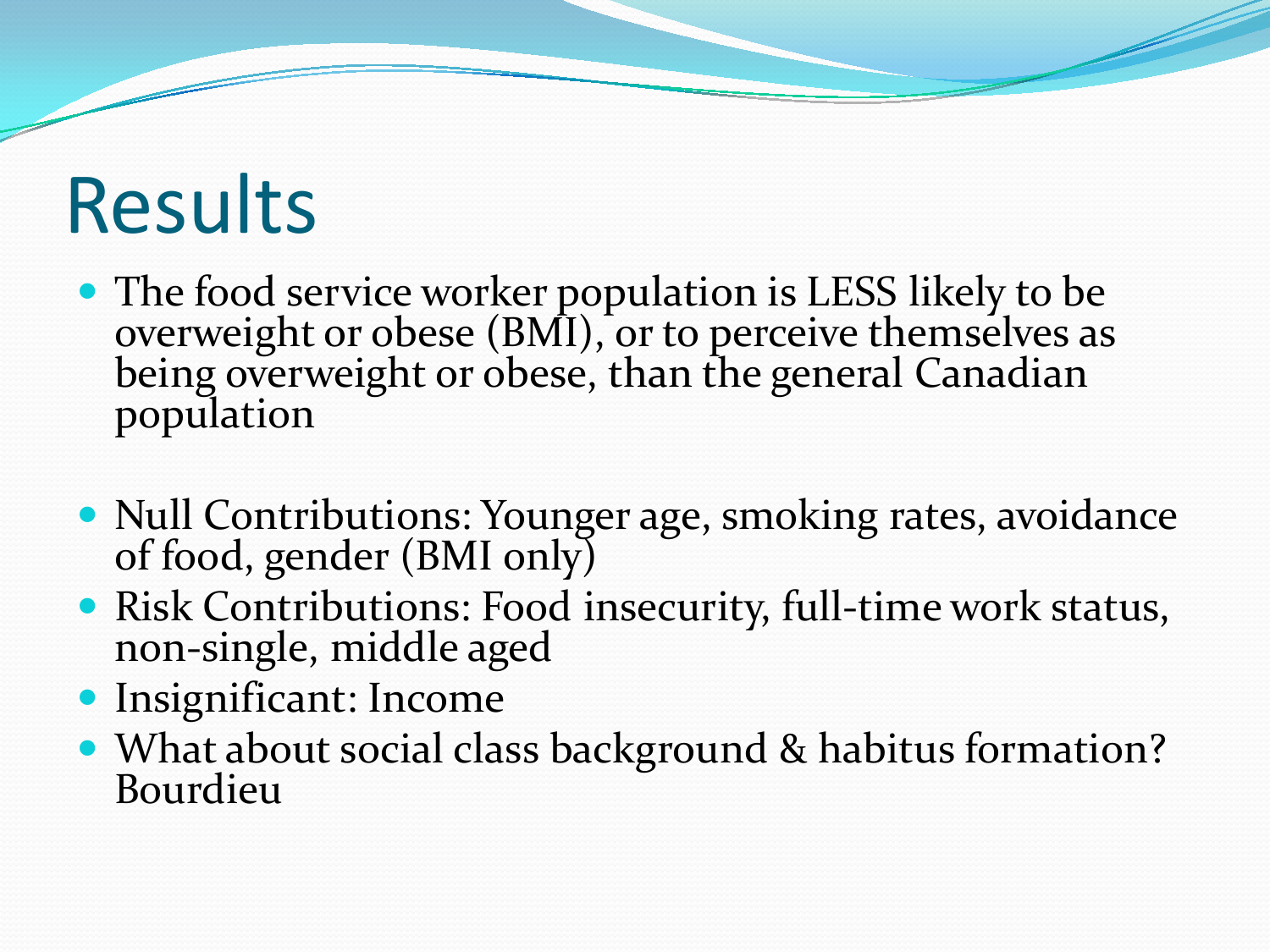## Results

- The food service worker population is LESS likely to be overweight or obese (BMI), or to perceive themselves as being overweight or obese, than the general Canadian population
- Null Contributions: Younger age, smoking rates, avoidance of food, gender (BMI only)
- Risk Contributions: Food insecurity, full-time work status, non-single, middle aged
- Insignificant: Income
- What about social class background & habitus formation? Bourdieu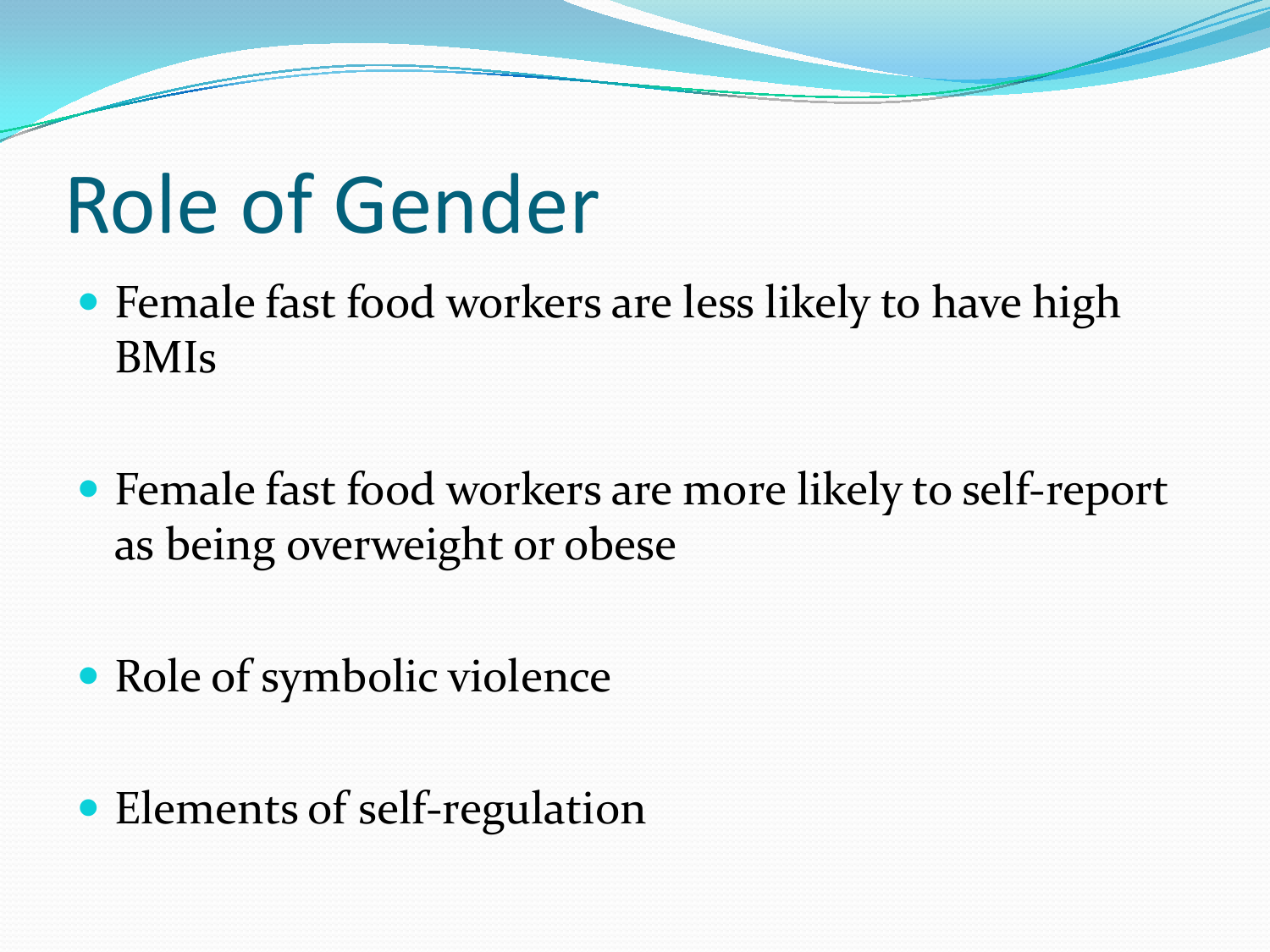## Role of Gender

- Female fast food workers are less likely to have high BMIs
- Female fast food workers are more likely to self-report as being overweight or obese
- Role of symbolic violence
- Elements of self-regulation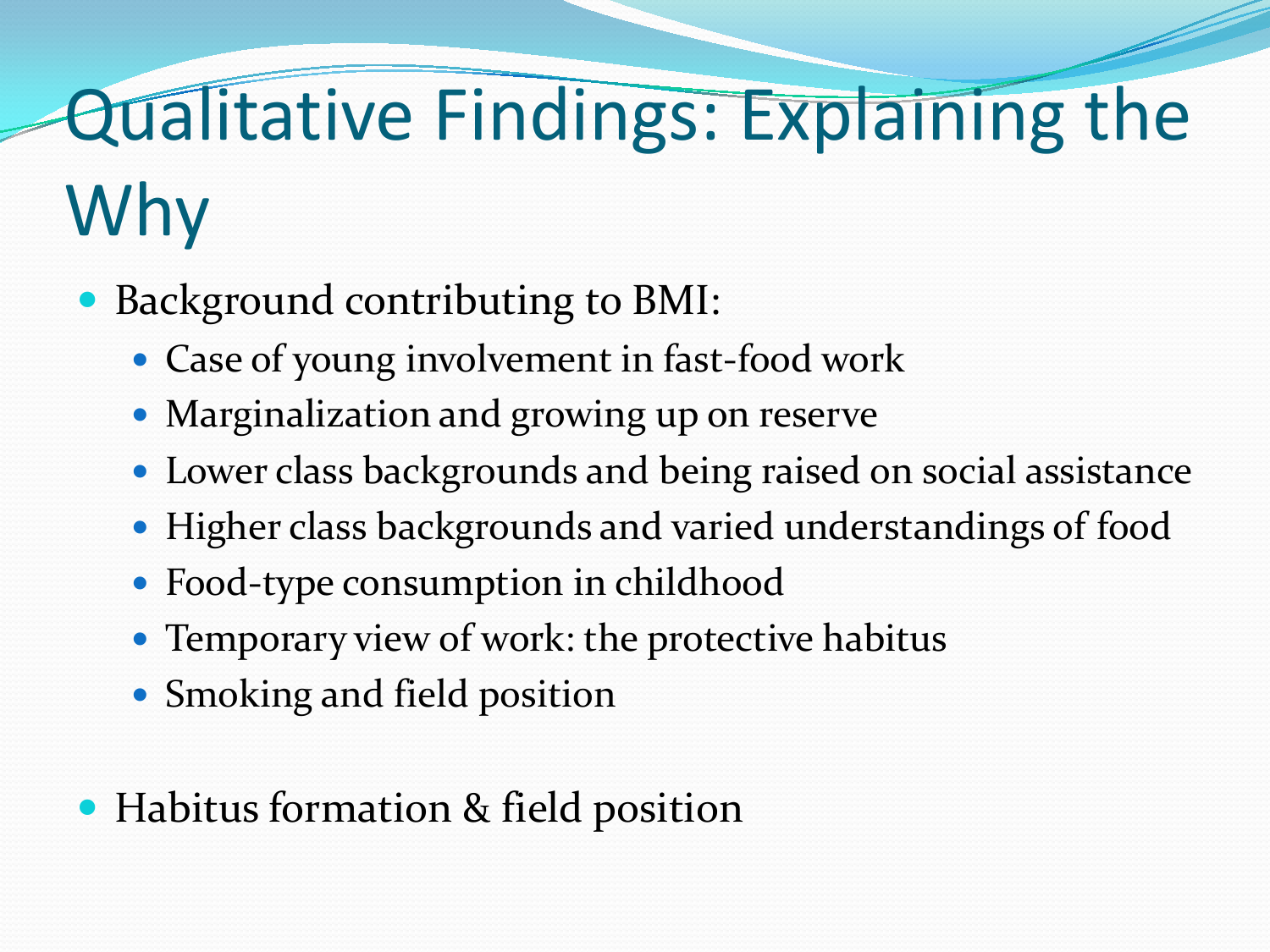## Qualitative Findings: Explaining the Why

- Background contributing to BMI:
	- Case of young involvement in fast-food work
	- Marginalization and growing up on reserve
	- Lower class backgrounds and being raised on social assistance
	- Higher class backgrounds and varied understandings of food
	- Food-type consumption in childhood
	- Temporary view of work: the protective habitus
	- Smoking and field position
- Habitus formation & field position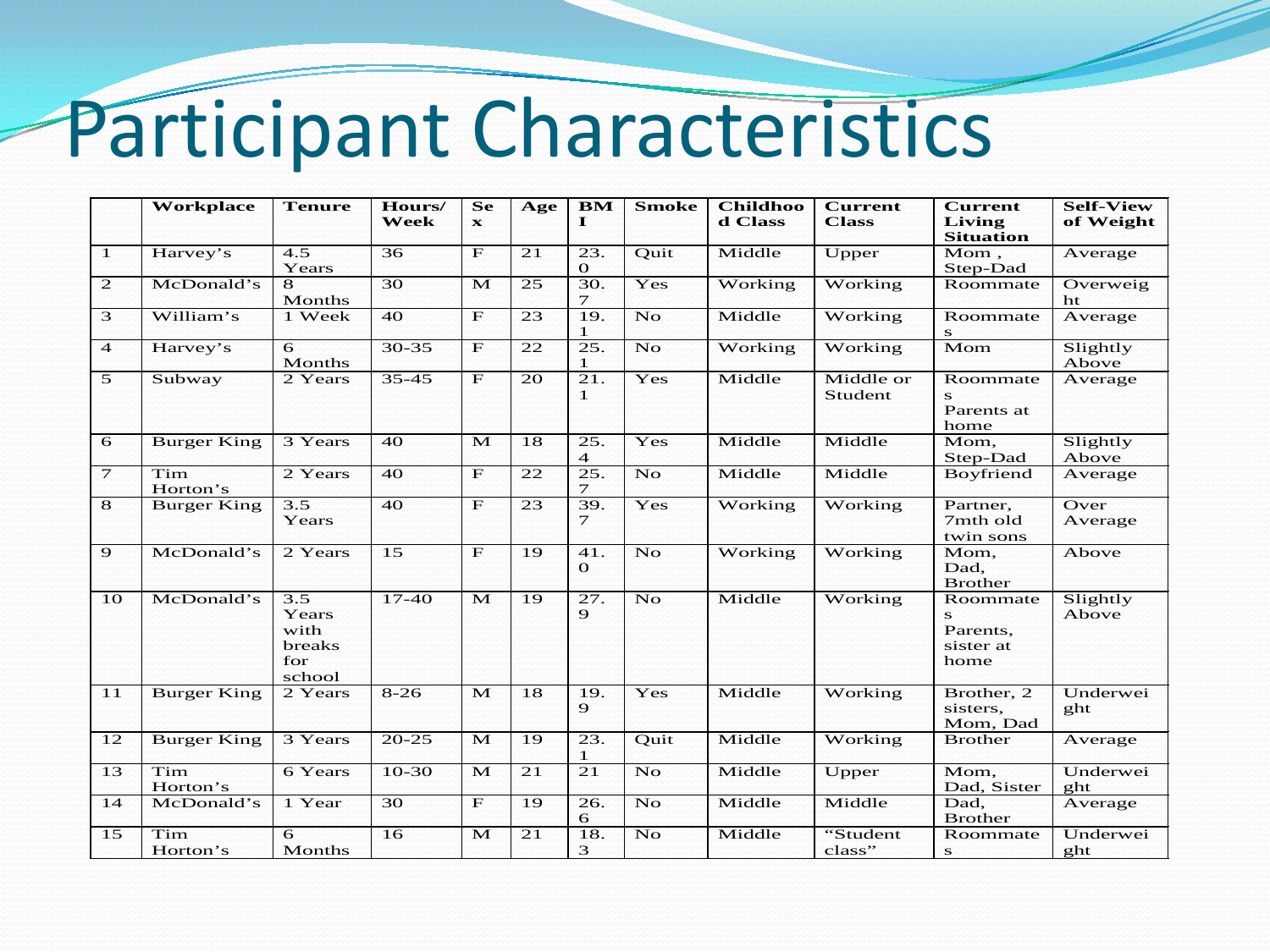# Participant Characteristics

|                 | Workplace          | <b>Tenure</b>                                   | Hours/<br>Week  | <b>Se</b><br>$\mathbf{x}$ | Age | BM<br>$\mathbf I$     | <b>Smoke</b>       | <b>Childhoo</b><br>d Class | <b>Current</b><br><b>Class</b> | <b>Current</b><br>Living<br><b>Situation</b>   | <b>Self-View</b><br>of Weight |
|-----------------|--------------------|-------------------------------------------------|-----------------|---------------------------|-----|-----------------------|--------------------|----------------------------|--------------------------------|------------------------------------------------|-------------------------------|
| $\mathbf{1}$    | Harvey's           | 4.5<br>Years                                    | 36              | $\mathbf{F}$              | 21  | 23.<br>$\mathbf{o}$   | Ouit               | Middle                     | Upper                          | Mom.<br>Step-Dad                               | Average                       |
| $\mathbf{2}$    | McDonald's         | 8<br>Months                                     | 30              | M                         | 25  | 30.<br>$\tau$         | Yes                | Working                    | Working                        | Roommate                                       | Overweig<br>ht                |
| 3               | William's          | 1 Week                                          | 40              | $\mathbf{F}$              | 23  | 19.<br>1              | No                 | Middle                     | Working                        | Roommate<br>s                                  | Average                       |
| $\overline{4}$  | Harvey's           | 6<br>Months                                     | $30 - 35$       | $\mathbf{F}$              | 22  | 25.<br>$\mathbf{1}$   | N <sub>O</sub>     | Working                    | Working                        | Mom                                            | Slightly<br>Above             |
| 5               | Subway             | 2 Years                                         | $35 - 45$       | $\mathbf{F}$              | 20  | 21.<br>$\mathbf{1}$   | Yes                | Middle                     | Middle or<br>Student           | Roommate<br>s<br>Parents at<br>home            | Average                       |
| 6               | <b>Burger King</b> | 3 Years                                         | 40              | M                         | 18  | 25.<br>$\overline{4}$ | Yes                | Middle                     | Middle                         | Mom.<br>Step-Dad                               | Slightly<br>Above             |
| $\tau$          | Tim<br>Horton's    | 2 Years                                         | 40              | $\mathbf F$               | 22  | 25.<br>$\tau$         | <b>No</b>          | Middle                     | Middle                         | Boyfriend                                      | Average                       |
| 8               | <b>Burger King</b> | $\overline{3.5}$<br>Years                       | $\overline{40}$ | $\overline{F}$            | 23  | 39.<br>$\tau$         | Yes                | Working                    | Working                        | Partner,<br>7mth old<br>twin sons              | Over<br>Average               |
| $\mathbf{Q}$    | McDonald's         | 2 Years                                         | $\overline{15}$ | $\mathbf F$               | 19  | 41.<br>$\Omega$       | No                 | Working                    | Working                        | Mom,<br>Dad.<br><b>Brother</b>                 | Above                         |
| 10              | McDonald's         | 3.5<br>Years<br>with<br>breaks<br>for<br>school | $17-40$         | M                         | 19  | 27.<br>$\mathbf{Q}$   | <b>No</b>          | Middle                     | Working                        | Roommate<br>s<br>Parents,<br>sister at<br>home | Slightly<br>Above             |
| 11              | <b>Burger King</b> | 2 Years                                         | $8 - 26$        | M                         | 18  | 19.<br>$\mathbf{Q}$   | Yes                | Middle                     | Working                        | Brother, 2<br>sisters.<br>Mom, Dad             | Underwei<br>ght               |
| 12              | <b>Burger King</b> | 3 Years                                         | $20 - 25$       | M                         | 19  | 23.<br>1              | Quit               | Middle                     | Working                        | <b>Brother</b>                                 | Average                       |
| $\overline{13}$ | Tim<br>Horton's    | 6 Years                                         | $10-30$         | M                         | 21  | $\overline{21}$       | $\overline{N_{O}}$ | Middle                     | Upper                          | Mom.<br>Dad, Sister                            | Underwei<br>ght               |
| 14              | McDonald's         | 1 Year                                          | 30              | $\mathbf{F}$              | 19  | 26.<br>6              | <b>No</b>          | Middle                     | Middle                         | Dad,<br><b>Brother</b>                         | Average                       |
| 15              | Tim<br>Horton's    | 6<br>Months                                     | 16              | M                         | 21  | 18.<br>3              | N <sub>O</sub>     | Middle                     | "Student<br>class"             | Roommate<br>${\bf s}$                          | Underwei<br>ght               |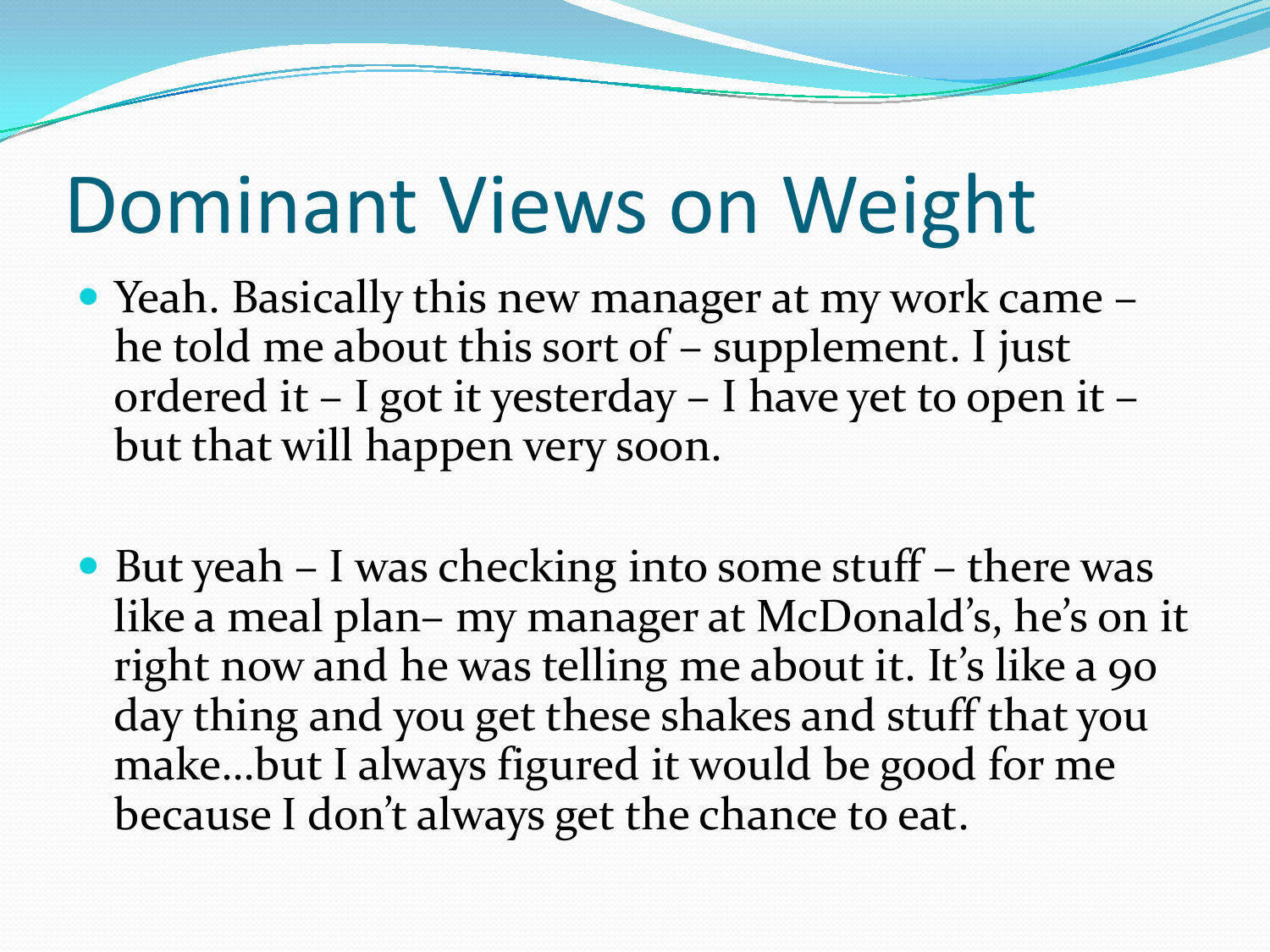## Dominant Views on Weight

- Yeah. Basically this new manager at my work came he told me about this sort of – supplement. I just ordered it – I got it yesterday – I have yet to open it – but that will happen very soon.
- But yeah I was checking into some stuff there was like a meal plan– my manager at McDonald's, he's on it right now and he was telling me about it. It's like a 90 day thing and you get these shakes and stuff that you make…but I always figured it would be good for me because I don't always get the chance to eat.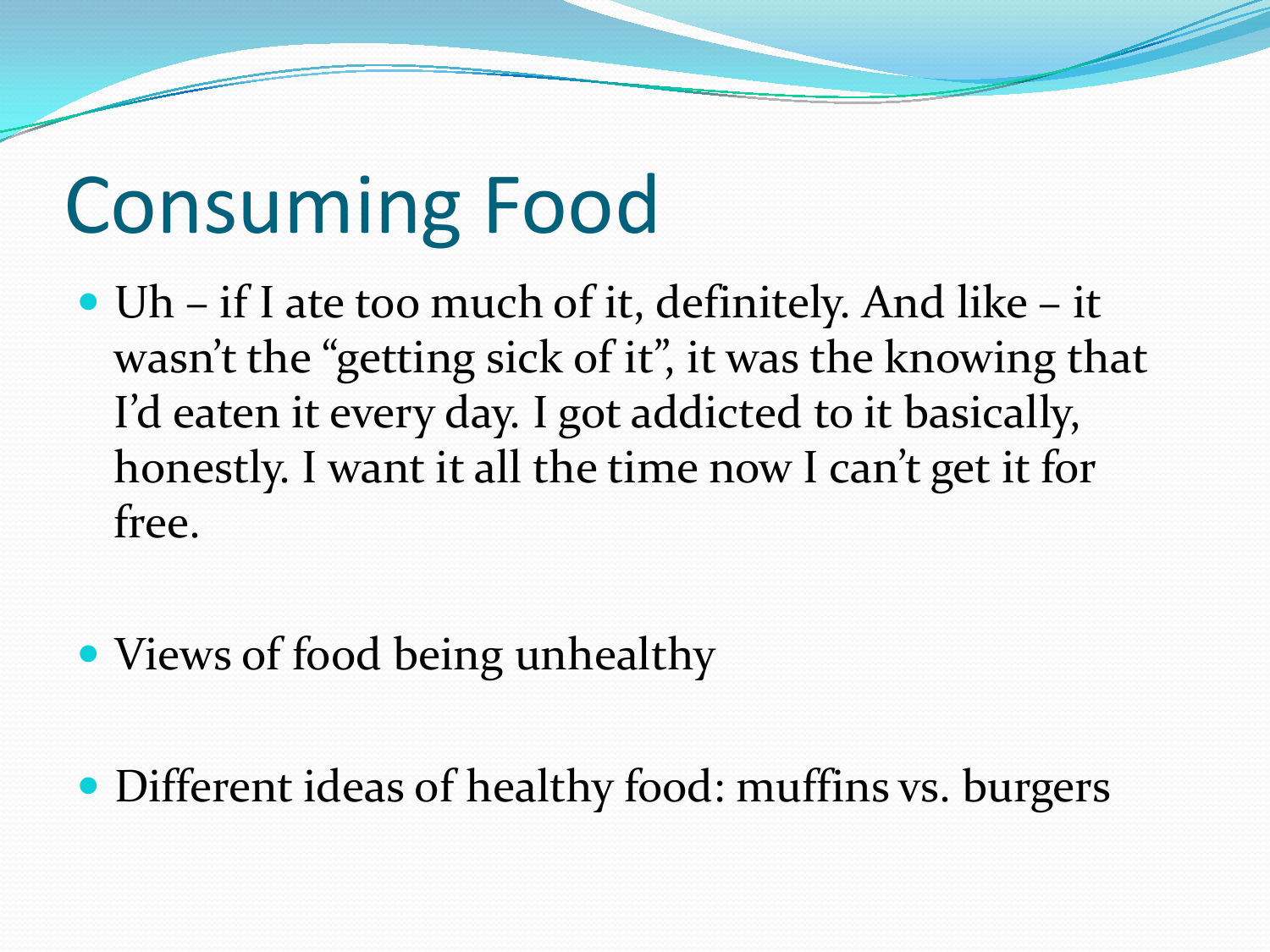## Consuming Food

- Uh if I ate too much of it, definitely. And like it wasn't the "getting sick of it", it was the knowing that I'd eaten it every day. I got addicted to it basically, honestly. I want it all the time now I can't get it for free.
- Views of food being unhealthy

• Different ideas of healthy food: muffins vs. burgers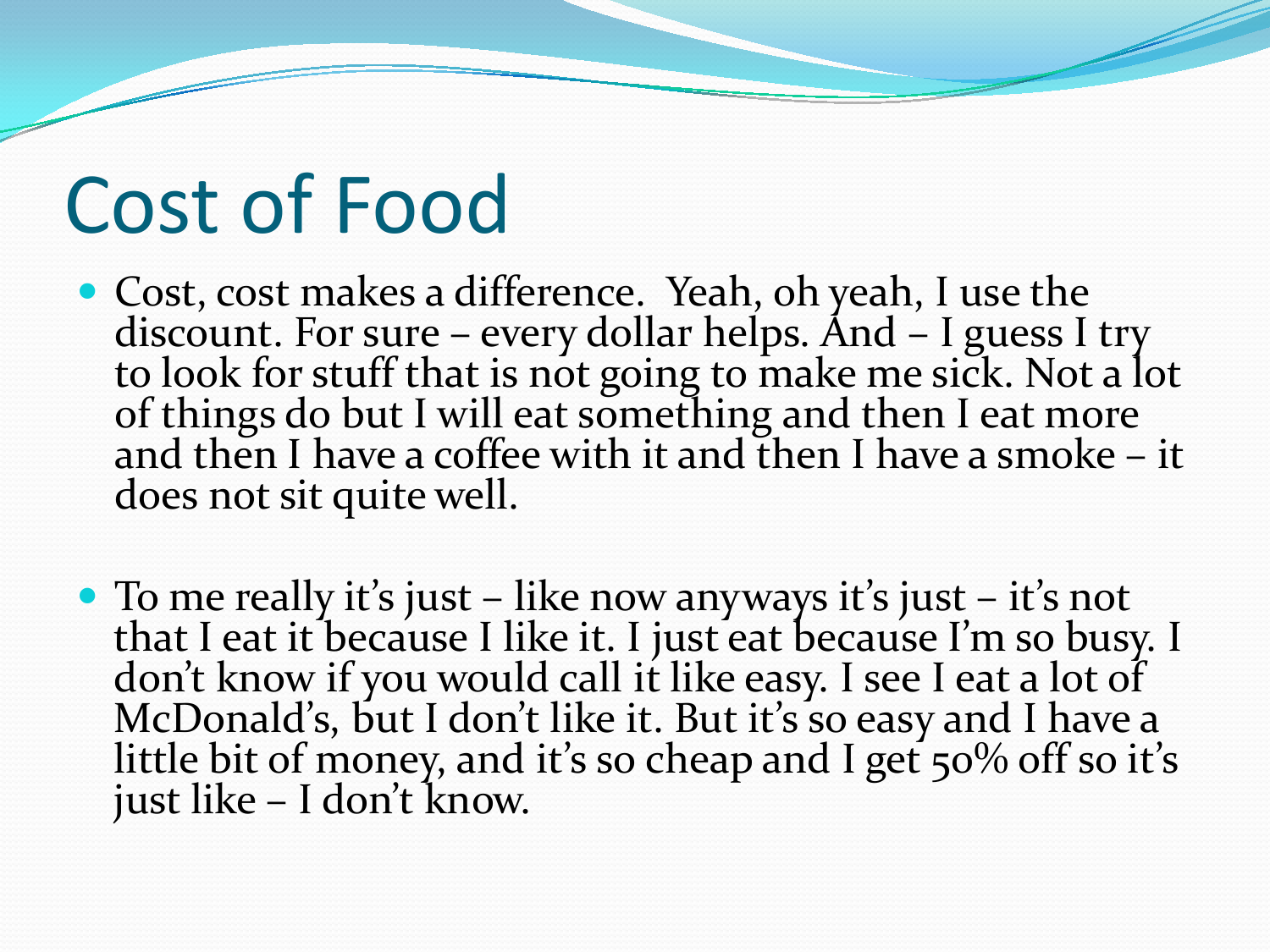## Cost of Food

- Cost, cost makes a difference. Yeah, oh yeah, I use the discount. For sure every dollar helps. And I guess I try to look for stuff that is not going to make me sick. Not a lot of things do but I will eat something and then I eat more and then I have a coffee with it and then I have a smoke – it does not sit quite well.
- To me really it's just like now anyways it's just it's not that I eat it because I like it. I just eat because I'm so busy. I don't know if you would call it like easy. I see I eat a lot of McDonald's, but I don't like it. But it's so easy and I have a little bit of money, and it's so cheap and I get 50% off so it's just like – I don't know.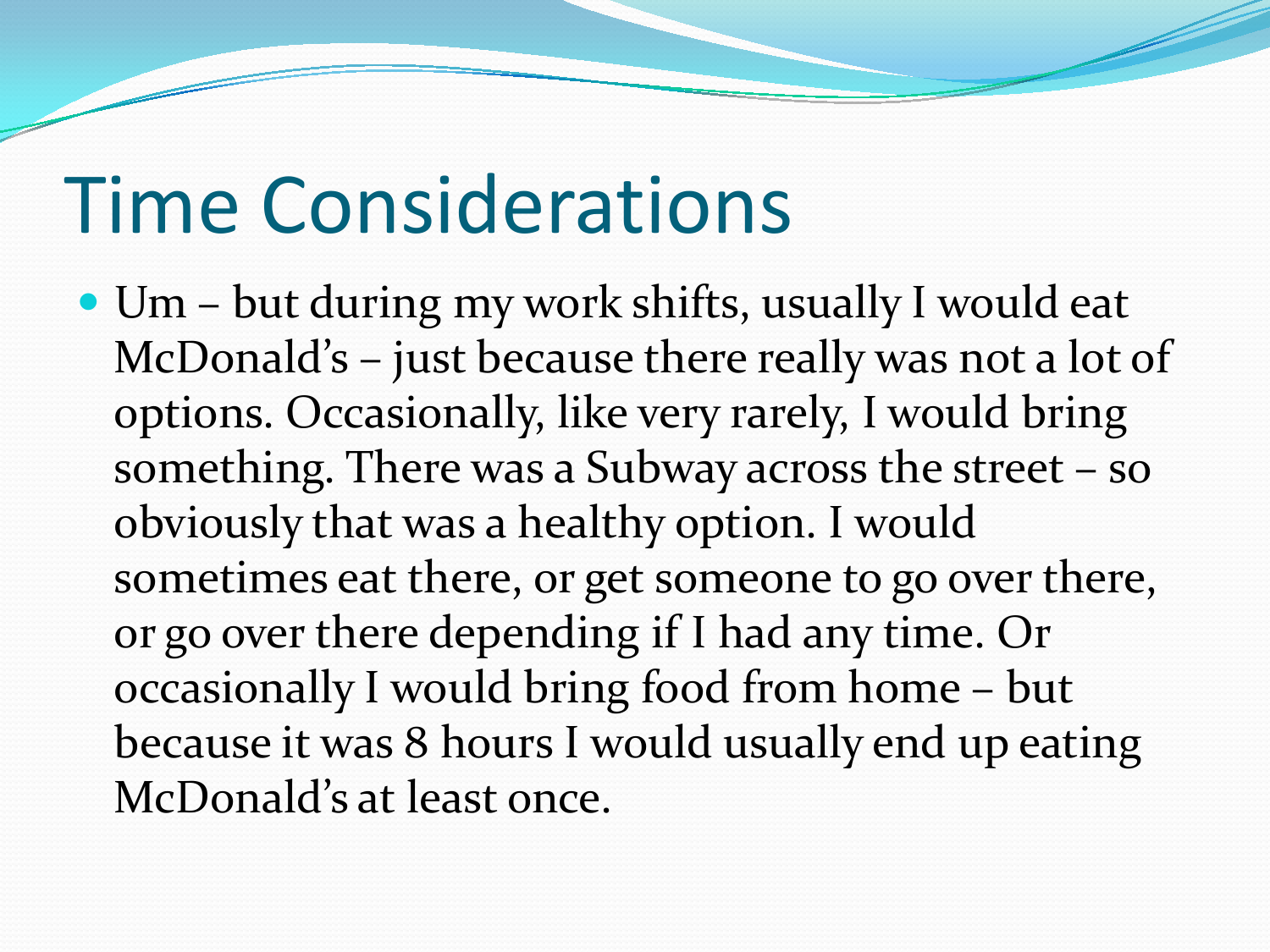## Time Considerations

 Um – but during my work shifts, usually I would eat McDonald's – just because there really was not a lot of options. Occasionally, like very rarely, I would bring something. There was a Subway across the street – so obviously that was a healthy option. I would sometimes eat there, or get someone to go over there, or go over there depending if I had any time. Or occasionally I would bring food from home – but because it was 8 hours I would usually end up eating McDonald's at least once.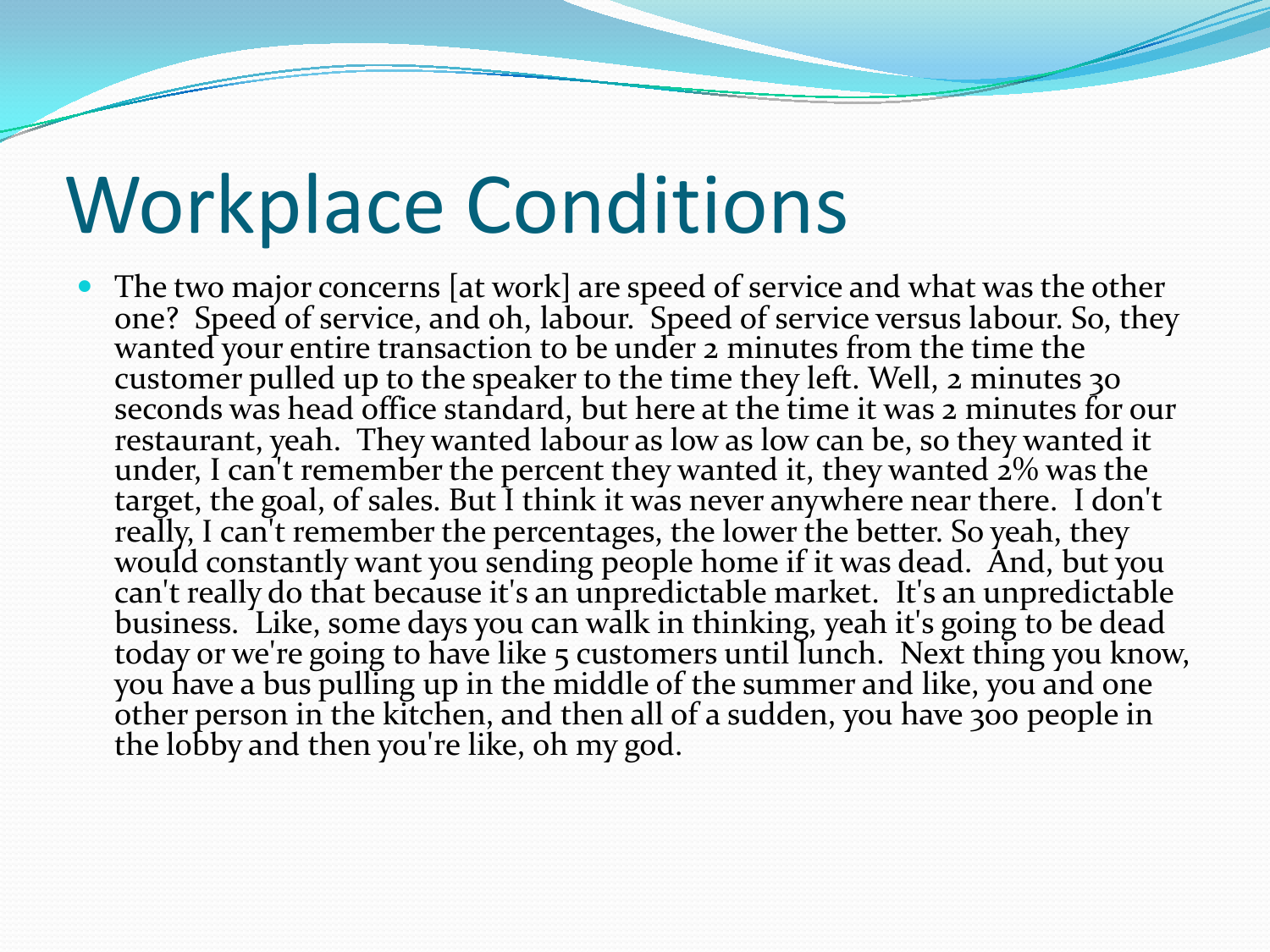## Workplace Conditions

• The two major concerns [at work] are speed of service and what was the other one? Speed of service, and oh, labour. Speed of service versus labour. So, they wanted your entire transaction to be under 2 minutes from the time the customer pulled up to the speaker to the time they left. Well, 2 minutes 30 seconds was head office standard, but here at the time it was 2 minutes for our restaurant, yeah. They wanted labour as low as low can be, so they wanted it restaurant, yeah. They wanted labour as low as low can be, so they wanted it under, I can't remember the percent they wanted it, they wanted 2% was the target, the goal, of sales. But I think it was never anywhere near there. I don't really, I can't remember the percentages, the lower the better. So yeah, they would constantly want you sending people home if it was dead. And, but you can't really do that because it's an unpredictable market. It's an unpredictable business. Like, some days you can walk in thinking, yeah it's going to be dead today or we're going to have like 5 customers until lunch. Next thing you know, you have a bus pulling up in the middle of the summer and like, you and one other person in the kitchen, and then all of a sudden, you have 300 people in the lobby and then you're like, oh my god.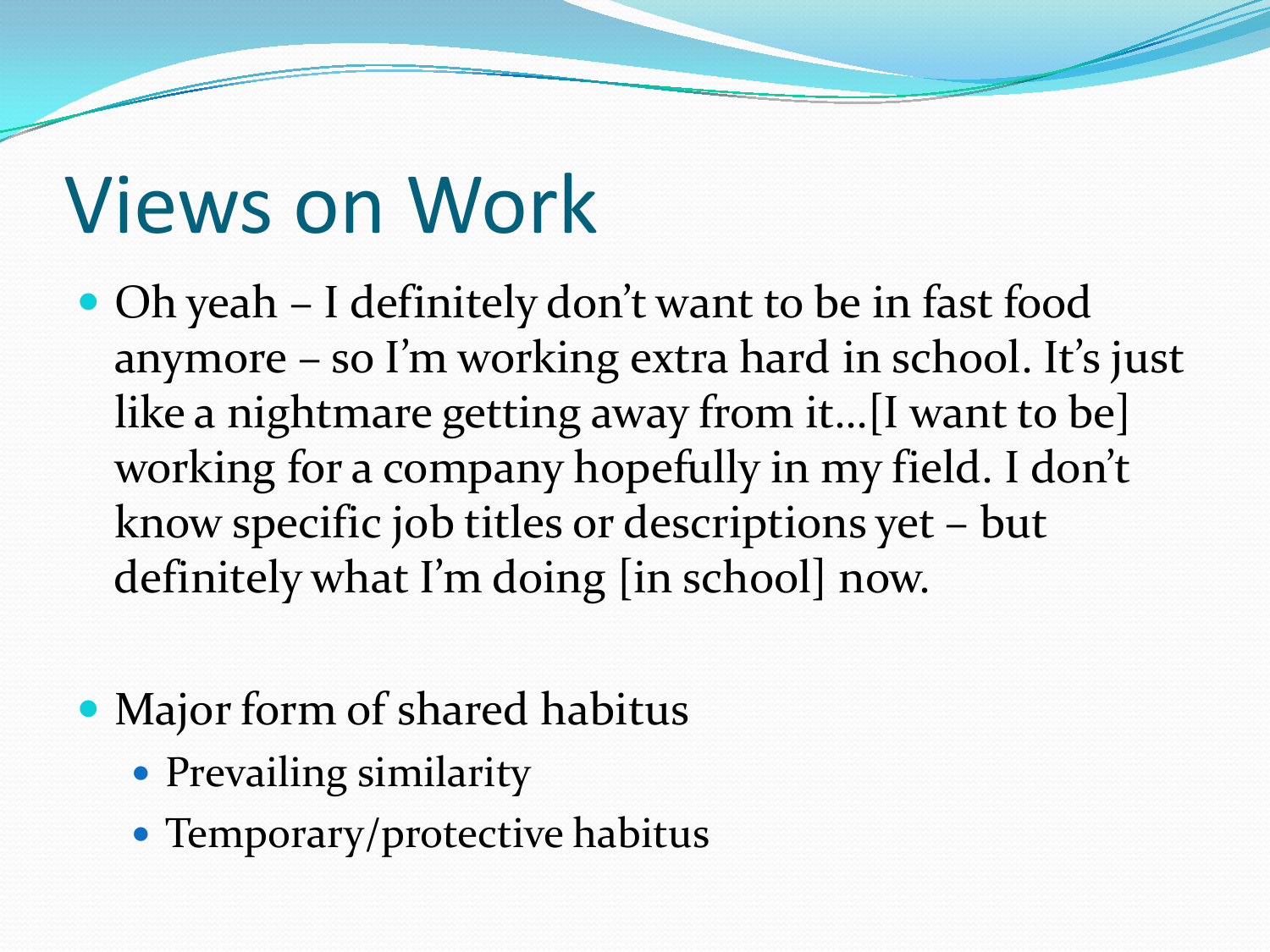## Views on Work

- Oh yeah I definitely don't want to be in fast food anymore – so I'm working extra hard in school. It's just like a nightmare getting away from it…[I want to be] working for a company hopefully in my field. I don't know specific job titles or descriptions yet – but definitely what I'm doing [in school] now.
- Major form of shared habitus
	- Prevailing similarity
	- Temporary/protective habitus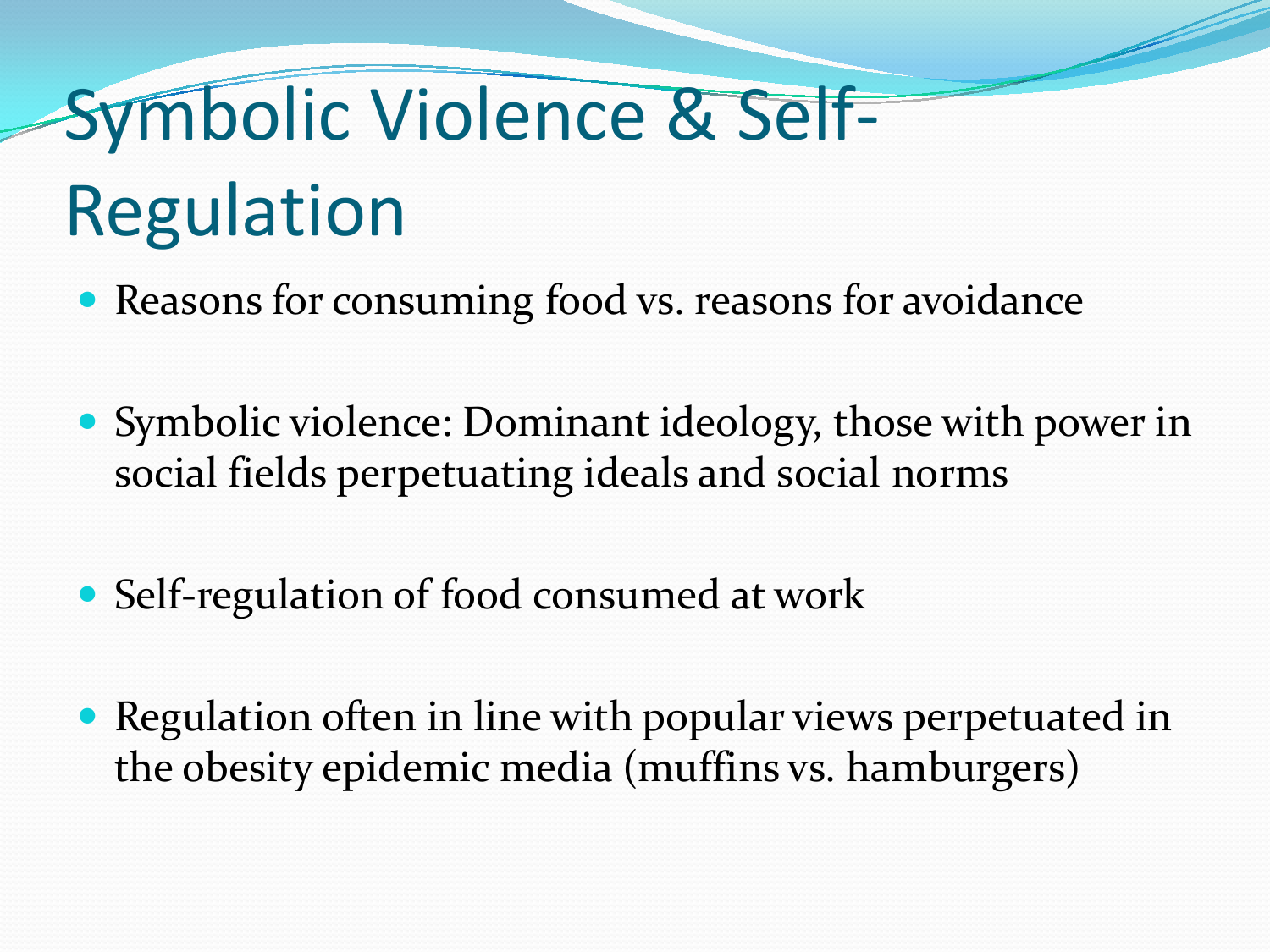## Symbolic Violence & Self-Regulation

- Reasons for consuming food vs. reasons for avoidance
- Symbolic violence: Dominant ideology, those with power in social fields perpetuating ideals and social norms
- Self-regulation of food consumed at work
- Regulation often in line with popular views perpetuated in the obesity epidemic media (muffins vs. hamburgers)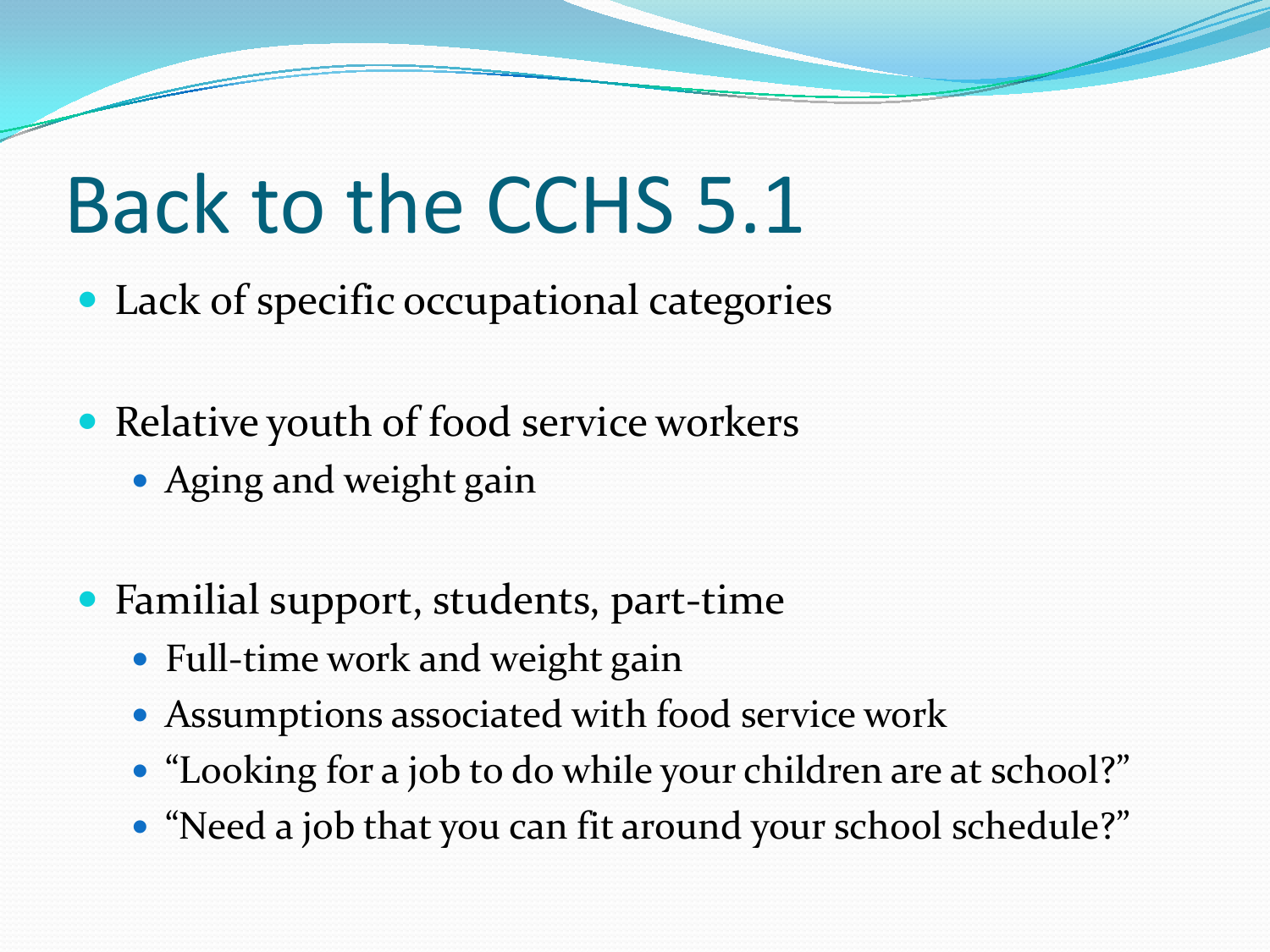## Back to the CCHS 5.1

- Lack of specific occupational categories
- Relative youth of food service workers
	- Aging and weight gain
- Familial support, students, part-time
	- Full-time work and weight gain
	- Assumptions associated with food service work
	- "Looking for a job to do while your children are at school?"
	- "Need a job that you can fit around your school schedule?"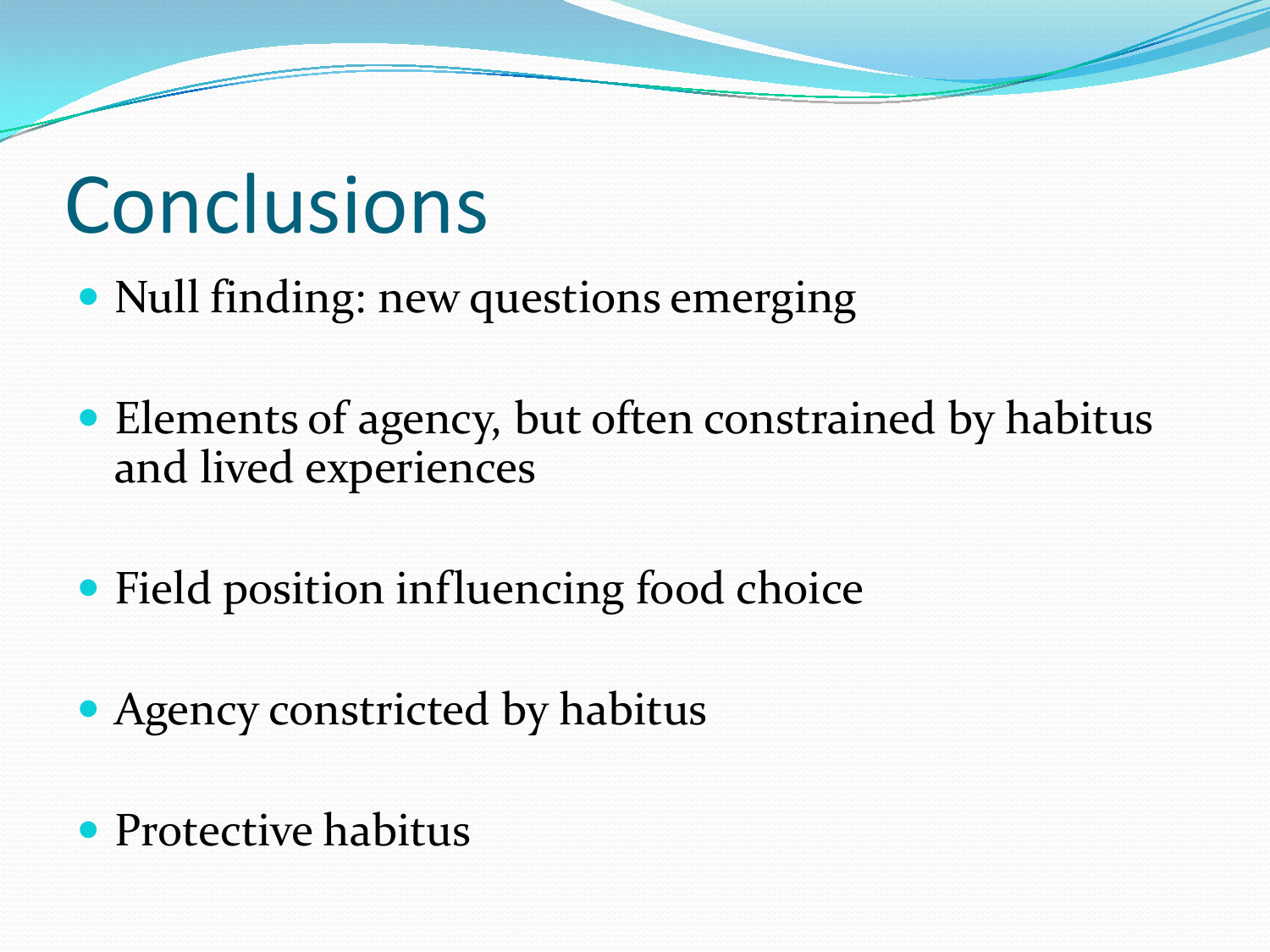## **Conclusions**

- Null finding: new questions emerging
- Elements of agency, but often constrained by habitus and lived experiences
- Field position influencing food choice
- Agency constricted by habitus
- Protective habitus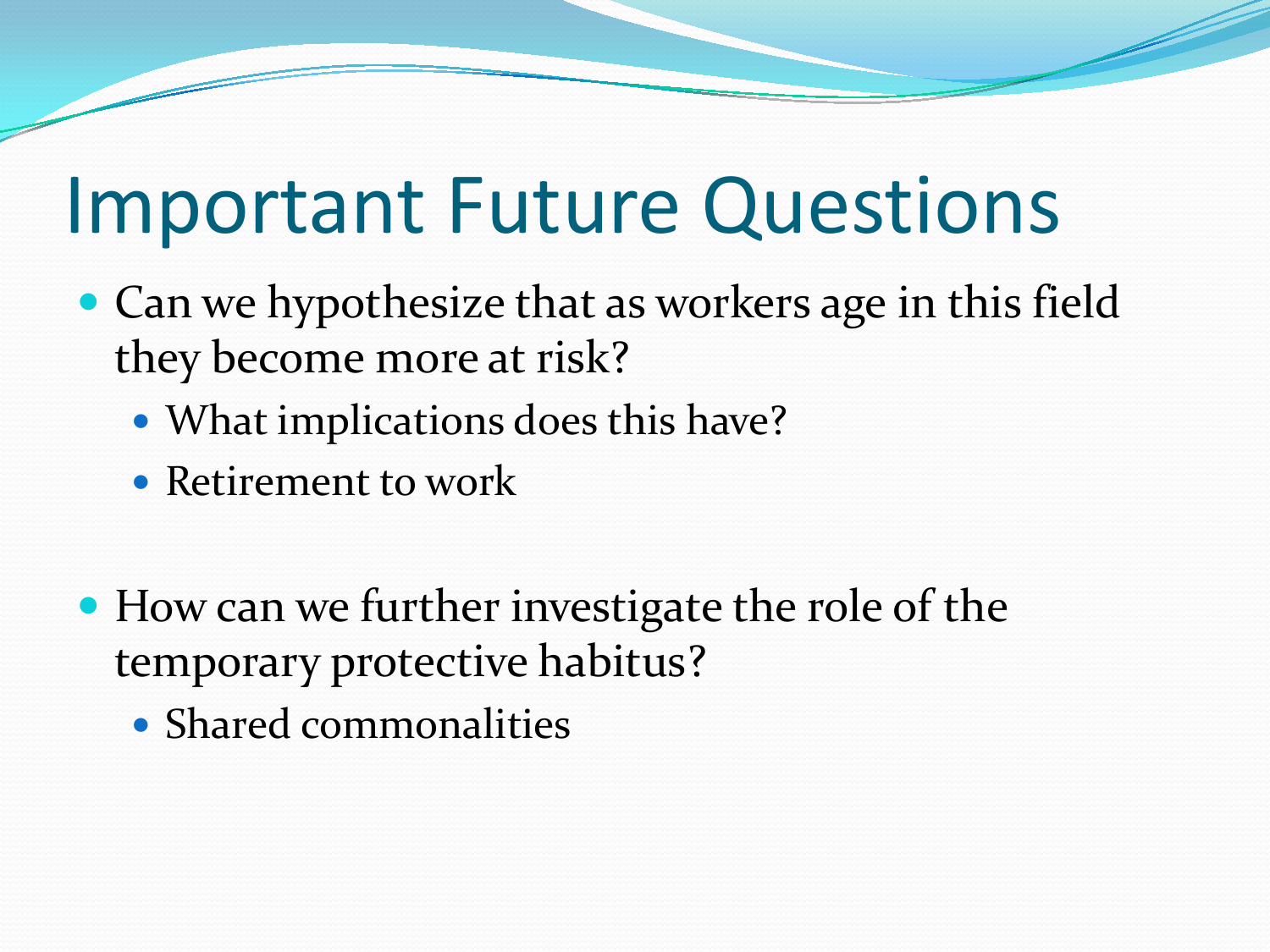## Important Future Questions

- Can we hypothesize that as workers age in this field they become more at risk?
	- What implications does this have?
	- Retirement to work
- How can we further investigate the role of the temporary protective habitus?
	- Shared commonalities